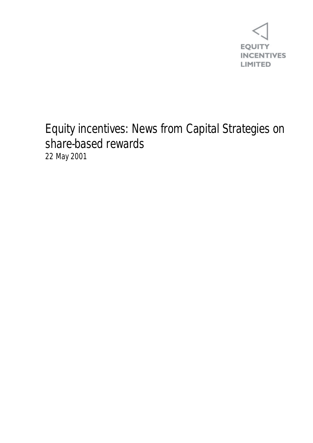

## Equity incentives: News from Capital Strategies on share-based rewards 22 May 2001